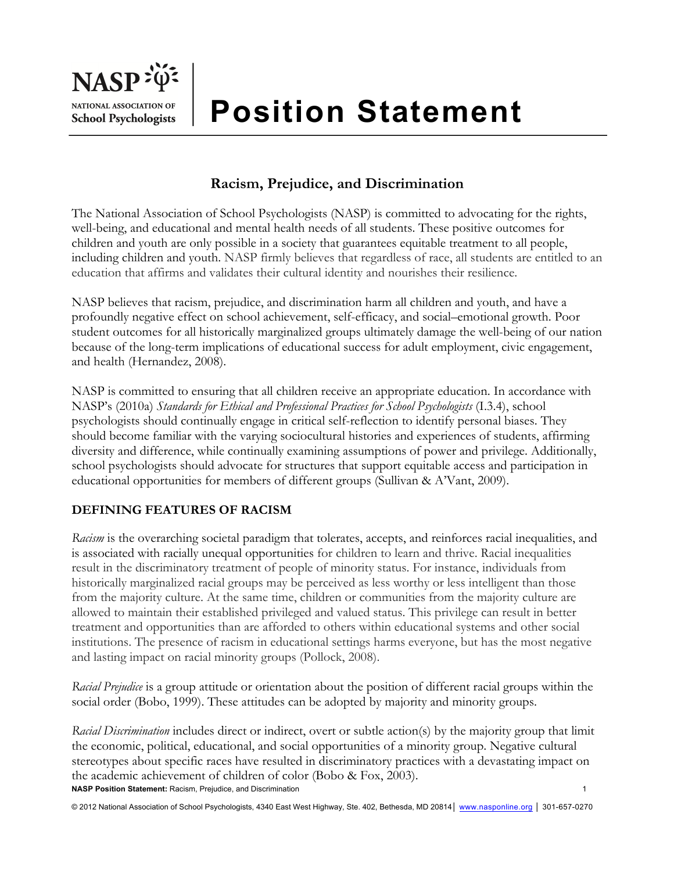

# **Position Statement**

## **Racism, Prejudice, and Discrimination**

The National Association of School Psychologists (NASP) is committed to advocating for the rights, well-being, and educational and mental health needs of all students. These positive outcomes for children and youth are only possible in a society that guarantees equitable treatment to all people, including children and youth. NASP firmly believes that regardless of race, all students are entitled to an education that affirms and validates their cultural identity and nourishes their resilience.

NASP believes that racism, prejudice, and discrimination harm all children and youth, and have a profoundly negative effect on school achievement, self-efficacy, and social–emotional growth. Poor student outcomes for all historically marginalized groups ultimately damage the well-being of our nation because of the long-term implications of educational success for adult employment, civic engagement, and health (Hernandez, 2008).

NASP is committed to ensuring that all children receive an appropriate education. In accordance with NASP's (2010a) *Standards for Ethical and Professional Practices for School Psychologists* (I.3.4), school psychologists should continually engage in critical self-reflection to identify personal biases. They should become familiar with the varying sociocultural histories and experiences of students, affirming diversity and difference, while continually examining assumptions of power and privilege. Additionally, school psychologists should advocate for structures that support equitable access and participation in educational opportunities for members of different groups (Sullivan & A'Vant, 2009).

#### **DEFINING FEATURES OF RACISM**

*Racism* is the overarching societal paradigm that tolerates, accepts, and reinforces racial inequalities, and is associated with racially unequal opportunities for children to learn and thrive. Racial inequalities result in the discriminatory treatment of people of minority status. For instance, individuals from historically marginalized racial groups may be perceived as less worthy or less intelligent than those from the majority culture. At the same time, children or communities from the majority culture are allowed to maintain their established privileged and valued status. This privilege can result in better treatment and opportunities than are afforded to others within educational systems and other social institutions. The presence of racism in educational settings harms everyone, but has the most negative and lasting impact on racial minority groups (Pollock, 2008).

*Racial Prejudice* is a group attitude or orientation about the position of different racial groups within the social order (Bobo, 1999). These attitudes can be adopted by majority and minority groups.

**NASP Position Statement:** Racism, Prejudice, and Discrimination 1 *Racial Discrimination* includes direct or indirect, overt or subtle action(s) by the majority group that limit the economic, political, educational, and social opportunities of a minority group. Negative cultural stereotypes about specific races have resulted in discriminatory practices with a devastating impact on the academic achievement of children of color (Bobo & Fox, 2003).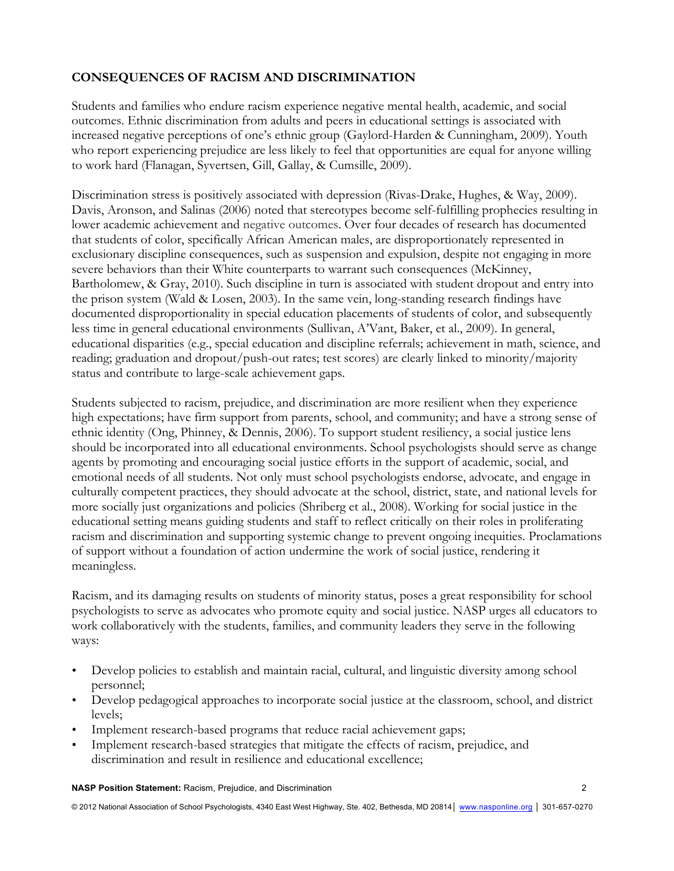### **CONSEQUENCES OF RACISM AND DISCRIMINATION**

Students and families who endure racism experience negative mental health, academic, and social outcomes. Ethnic discrimination from adults and peers in educational settings is associated with increased negative perceptions of one's ethnic group (Gaylord-Harden & Cunningham, 2009). Youth who report experiencing prejudice are less likely to feel that opportunities are equal for anyone willing to work hard (Flanagan, Syvertsen, Gill, Gallay, & Cumsille, 2009).

Discrimination stress is positively associated with depression (Rivas-Drake, Hughes, & Way, 2009). Davis, Aronson, and Salinas (2006) noted that stereotypes become self-fulfilling prophecies resulting in lower academic achievement and negative outcomes. Over four decades of research has documented that students of color, specifically African American males, are disproportionately represented in exclusionary discipline consequences, such as suspension and expulsion, despite not engaging in more severe behaviors than their White counterparts to warrant such consequences (McKinney, Bartholomew, & Gray, 2010). Such discipline in turn is associated with student dropout and entry into the prison system (Wald & Losen, 2003). In the same vein, long-standing research findings have documented disproportionality in special education placements of students of color, and subsequently less time in general educational environments (Sullivan, A'Vant, Baker, et al., 2009). In general, educational disparities (e.g., special education and discipline referrals; achievement in math, science, and reading; graduation and dropout/push-out rates; test scores) are clearly linked to minority/majority status and contribute to large-scale achievement gaps.

Students subjected to racism, prejudice, and discrimination are more resilient when they experience high expectations; have firm support from parents, school, and community; and have a strong sense of ethnic identity (Ong, Phinney, & Dennis, 2006). To support student resiliency, a social justice lens should be incorporated into all educational environments. School psychologists should serve as change agents by promoting and encouraging social justice efforts in the support of academic, social, and emotional needs of all students. Not only must school psychologists endorse, advocate, and engage in culturally competent practices, they should advocate at the school, district, state, and national levels for more socially just organizations and policies (Shriberg et al., 2008). Working for social justice in the educational setting means guiding students and staff to reflect critically on their roles in proliferating racism and discrimination and supporting systemic change to prevent ongoing inequities. Proclamations of support without a foundation of action undermine the work of social justice, rendering it meaningless.

Racism, and its damaging results on students of minority status, poses a great responsibility for school psychologists to serve as advocates who promote equity and social justice. NASP urges all educators to work collaboratively with the students, families, and community leaders they serve in the following ways:

- Develop policies to establish and maintain racial, cultural, and linguistic diversity among school personnel;
- Develop pedagogical approaches to incorporate social justice at the classroom, school, and district levels;
- Implement research-based programs that reduce racial achievement gaps;
- Implement research-based strategies that mitigate the effects of racism, prejudice, and discrimination and result in resilience and educational excellence;

**NASP Position Statement:** Racism, Prejudice, and Discrimination 2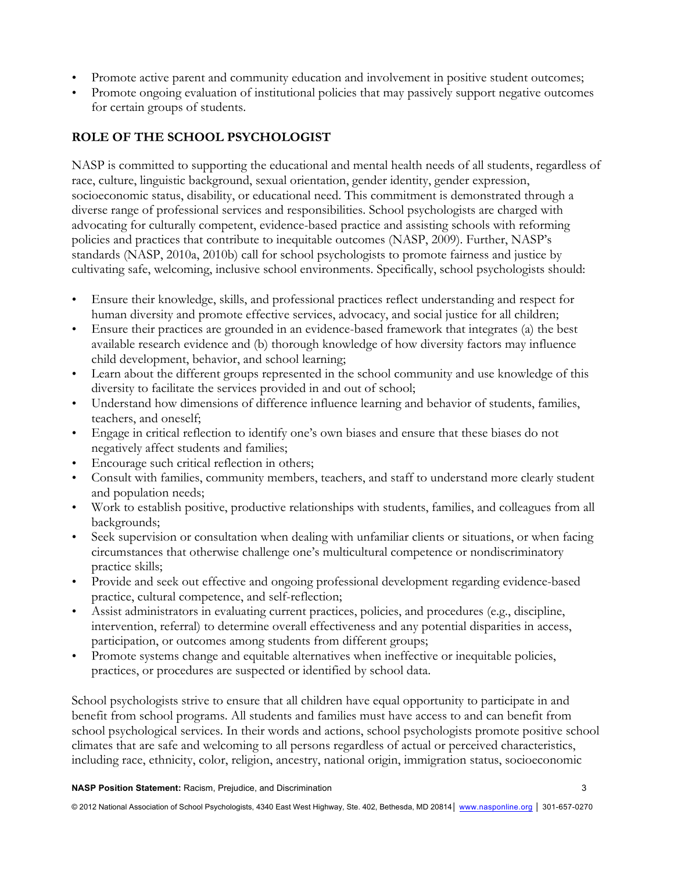- Promote active parent and community education and involvement in positive student outcomes;
- Promote ongoing evaluation of institutional policies that may passively support negative outcomes for certain groups of students.

## **ROLE OF THE SCHOOL PSYCHOLOGIST**

NASP is committed to supporting the educational and mental health needs of all students, regardless of race, culture, linguistic background, sexual orientation, gender identity, gender expression, socioeconomic status, disability, or educational need. This commitment is demonstrated through a diverse range of professional services and responsibilities. School psychologists are charged with advocating for culturally competent, evidence-based practice and assisting schools with reforming policies and practices that contribute to inequitable outcomes (NASP, 2009). Further, NASP's standards (NASP, 2010a, 2010b) call for school psychologists to promote fairness and justice by cultivating safe, welcoming, inclusive school environments. Specifically, school psychologists should:

- Ensure their knowledge, skills, and professional practices reflect understanding and respect for human diversity and promote effective services, advocacy, and social justice for all children;
- Ensure their practices are grounded in an evidence-based framework that integrates (a) the best available research evidence and (b) thorough knowledge of how diversity factors may influence child development, behavior, and school learning;
- Learn about the different groups represented in the school community and use knowledge of this diversity to facilitate the services provided in and out of school;
- Understand how dimensions of difference influence learning and behavior of students, families, teachers, and oneself;
- Engage in critical reflection to identify one's own biases and ensure that these biases do not negatively affect students and families;
- Encourage such critical reflection in others;
- Consult with families, community members, teachers, and staff to understand more clearly student and population needs;
- Work to establish positive, productive relationships with students, families, and colleagues from all backgrounds;
- Seek supervision or consultation when dealing with unfamiliar clients or situations, or when facing circumstances that otherwise challenge one's multicultural competence or nondiscriminatory practice skills;
- Provide and seek out effective and ongoing professional development regarding evidence-based practice, cultural competence, and self-reflection;
- Assist administrators in evaluating current practices, policies, and procedures (e.g., discipline, intervention, referral) to determine overall effectiveness and any potential disparities in access, participation, or outcomes among students from different groups;
- Promote systems change and equitable alternatives when ineffective or inequitable policies, practices, or procedures are suspected or identified by school data.

School psychologists strive to ensure that all children have equal opportunity to participate in and benefit from school programs. All students and families must have access to and can benefit from school psychological services. In their words and actions, school psychologists promote positive school climates that are safe and welcoming to all persons regardless of actual or perceived characteristics, including race, ethnicity, color, religion, ancestry, national origin, immigration status, socioeconomic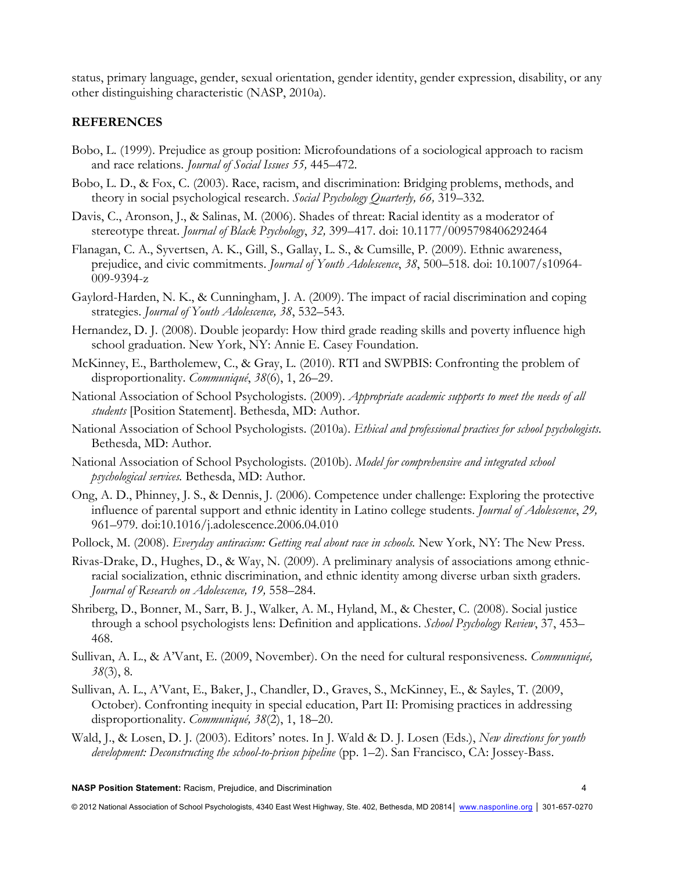status, primary language, gender, sexual orientation, gender identity, gender expression, disability, or any other distinguishing characteristic (NASP, 2010a).

#### **REFERENCES**

- Bobo, L. (1999). Prejudice as group position: Microfoundations of a sociological approach to racism and race relations. *Journal of Social Issues 55,* 445–472.
- Bobo, L. D., & Fox, C. (2003). Race, racism, and discrimination: Bridging problems, methods, and theory in social psychological research. *Social Psychology Quarterly, 66,* 319–332.
- Davis, C., Aronson, J., & Salinas, M. (2006). Shades of threat: Racial identity as a moderator of stereotype threat. *Journal of Black Psychology*, *32,* 399–417. doi: 10.1177/0095798406292464
- Flanagan, C. A., Syvertsen, A. K., Gill, S., Gallay, L. S., & Cumsille, P. (2009). Ethnic awareness, prejudice, and civic commitments. *Journal of Youth Adolescence*, *38*, 500–518. doi: 10.1007/s10964- 009-9394-z
- Gaylord-Harden, N. K., & Cunningham, J. A. (2009). The impact of racial discrimination and coping strategies. *Journal of Youth Adolescence, 38*, 532–543.
- Hernandez, D. J. (2008). Double jeopardy: How third grade reading skills and poverty influence high school graduation. New York, NY: Annie E. Casey Foundation.
- McKinney, E., Bartholemew, C., & Gray, L. (2010). RTI and SWPBIS: Confronting the problem of disproportionality. *Communiqué*, *38*(6), 1, 26–29.
- National Association of School Psychologists. (2009). *Appropriate academic supports to meet the needs of all students* [Position Statement]. Bethesda, MD: Author.
- National Association of School Psychologists. (2010a). *Ethical and professional practices for school psychologists.* Bethesda, MD: Author.
- National Association of School Psychologists. (2010b). *Model for comprehensive and integrated school psychological services.* Bethesda, MD: Author.
- Ong, A. D., Phinney, J. S., & Dennis, J. (2006). Competence under challenge: Exploring the protective influence of parental support and ethnic identity in Latino college students. *Journal of Adolescence*, *29,* 961–979. doi:10.1016/j.adolescence.2006.04.010
- Pollock, M. (2008). *Everyday antiracism: Getting real about race in schools.* New York, NY: The New Press.
- Rivas-Drake, D., Hughes, D., & Way, N. (2009). A preliminary analysis of associations among ethnicracial socialization, ethnic discrimination, and ethnic identity among diverse urban sixth graders. *Journal of Research on Adolescence, 19,* 558–284.
- Shriberg, D., Bonner, M., Sarr, B. J., Walker, A. M., Hyland, M., & Chester, C. (2008). Social justice through a school psychologists lens: Definition and applications. *School Psychology Review*, 37, 453– 468.
- Sullivan, A. L., & A'Vant, E. (2009, November). On the need for cultural responsiveness*. Communiqué, 38*(3), 8*.*
- Sullivan, A. L., A'Vant, E., Baker, J., Chandler, D., Graves, S., McKinney, E., & Sayles, T. (2009, October). Confronting inequity in special education, Part II: Promising practices in addressing disproportionality. *Communiqué, 38*(2), 1, 18–20.
- Wald, J., & Losen, D. J. (2003). Editors' notes. In J. Wald & D. J. Losen (Eds.), *New directions for youth development: Deconstructing the school-to-prison pipeline* (pp. 1–2). San Francisco, CA: Jossey-Bass.

**NASP Position Statement:** Racism, Prejudice, and Discrimination 4